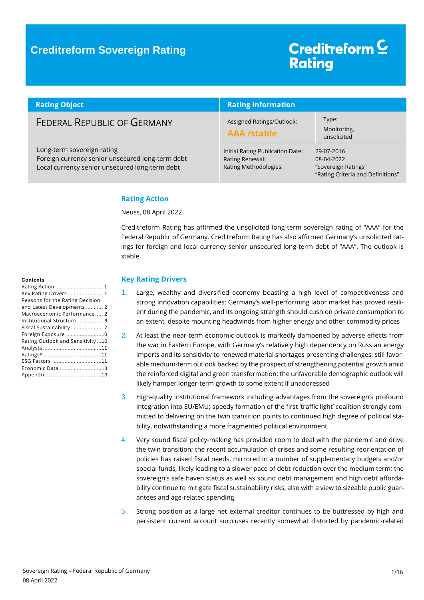## Creditreform<sup>C</sup> **Rating**

| <b>Rating Object</b>                                                                                                             | <b>Rating Information</b>                                                    |                                                                                      |  |
|----------------------------------------------------------------------------------------------------------------------------------|------------------------------------------------------------------------------|--------------------------------------------------------------------------------------|--|
| <b>FEDERAL REPUBLIC OF GERMANY</b>                                                                                               | Assigned Ratings/Outlook:<br><b>AAA /stable</b>                              | Type:<br>Monitoring,<br>unsolicited                                                  |  |
| Long-term sovereign rating<br>Foreign currency senior unsecured long-term debt<br>Local currency senior unsecured long-term debt | Initial Rating Publication Date:<br>Rating Renewal:<br>Rating Methodologies: | 29-07-2016<br>08-04-2022<br>"Sovereign Ratings"<br>"Rating Criteria and Definitions" |  |

### <span id="page-0-0"></span>**Rating Action**

Neuss, 08 April 2022

Creditreform Rating has affirmed the unsolicited long-term sovereign rating of "AAA" for the Federal Republic of Germany. Creditreform Rating has also affirmed Germany's unsolicited ratings for foreign and local currency senior unsecured long-term debt of "AAA". The outlook is stable.

### <span id="page-0-1"></span>**Key Rating Drivers**

- 1. Large, wealthy and diversified economy boasting a high level of competitiveness and strong innovation capabilities; Germany's well-performing labor market has proved resilient during the pandemic, and its ongoing strength should cushion private consumption to an extent, despite mounting headwinds from higher energy and other commodity prices
- 2. At least the near-term economic outlook is markedly dampened by adverse effects from the war in Eastern Europe, with Germany's relatively high dependency on Russian energy imports and its sensitivity to renewed material shortages presenting challenges; still favorable medium-term outlook backed by the prospect of strengthening potential growth amid the reinforced digital and green transformation; the unfavorable demographic outlook will likely hamper longer-term growth to some extent if unaddressed
- 3. High-quality institutional framework including advantages from the sovereign's profound integration into EU/EMU; speedy formation of the first 'traffic light' coalition strongly committed to delivering on the twin transition points to continued high degree of political stability, notwithstanding a more fragmented political environment
- 4. Very sound fiscal policy-making has provided room to deal with the pandemic and drive the twin transition; the recent accumulation of crises and some resulting reorientation of policies has raised fiscal needs, mirrored in a number of supplementary budgets and/or special funds, likely leading to a slower pace of debt reduction over the medium term; the sovereign's safe haven status as well as sound debt management and high debt affordability continue to mitigate fiscal sustainability risks, also with a view to sizeable public guarantees and age-related spending
- 5. Strong position as a large net external creditor continues to be buttressed by high and persistent current account surpluses recently somewhat distorted by pandemic-related

#### **Contents**

| Key Rating Drivers  1            |  |
|----------------------------------|--|
| Reasons for the Rating Decision  |  |
| and Latest Developments  2       |  |
| Macroeconomic Performance 2      |  |
| Institutional Structure  6       |  |
| Fiscal Sustainability 7          |  |
| Foreign Exposure 10              |  |
| Rating Outlook and Sensitivity10 |  |
|                                  |  |
|                                  |  |
| ESG Factors 11                   |  |
| Economic Data 13                 |  |
|                                  |  |
|                                  |  |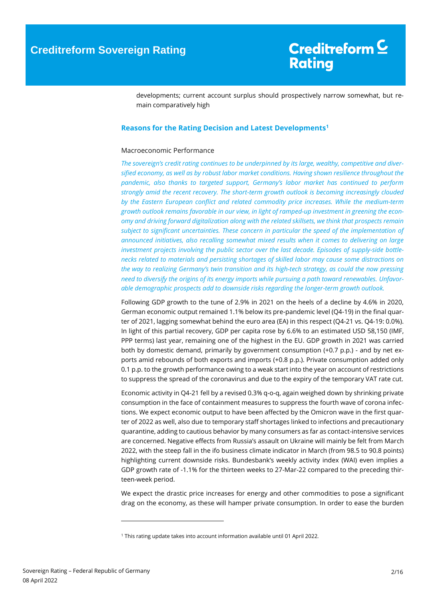developments; current account surplus should prospectively narrow somewhat, but remain comparatively high

### <span id="page-1-0"></span>**Reasons for the Rating Decision and Latest Developments<sup>1</sup>**

#### <span id="page-1-1"></span>Macroeconomic Performance

*The sovereign's credit rating continues to be underpinned by its large, wealthy, competitive and diversified economy, as well as by robust labor market conditions. Having shown resilience throughout the pandemic, also thanks to targeted support, Germany's labor market has continued to perform strongly amid the recent recovery. The short-term growth outlook is becoming increasingly clouded by the Eastern European conflict and related commodity price increases. While the medium-term growth outlook remains favorable in our view, in light of ramped-up investment in greening the economy and driving forward digitalization along with the related skillsets, we think that prospects remain subject to significant uncertainties. These concern in particular the speed of the implementation of announced initiatives, also recalling somewhat mixed results when it comes to delivering on large investment projects involving the public sector over the last decade. Episodes of supply-side bottlenecks related to materials and persisting shortages of skilled labor may cause some distractions on the way to realizing Germany's twin transition and its high-tech strategy, as could the now pressing need to diversify the origins of its energy imports while pursuing a path toward renewables. Unfavorable demographic prospects add to downside risks regarding the longer-term growth outlook.*

Following GDP growth to the tune of 2.9% in 2021 on the heels of a decline by 4.6% in 2020, German economic output remained 1.1% below its pre-pandemic level (Q4-19) in the final quarter of 2021, lagging somewhat behind the euro area (EA) in this respect (Q4-21 vs. Q4-19: 0.0%). In light of this partial recovery, GDP per capita rose by 6.6% to an estimated USD 58,150 (IMF, PPP terms) last year, remaining one of the highest in the EU. GDP growth in 2021 was carried both by domestic demand, primarily by government consumption (+0.7 p.p.) - and by net exports amid rebounds of both exports and imports (+0.8 p.p.). Private consumption added only 0.1 p.p. to the growth performance owing to a weak start into the year on account of restrictions to suppress the spread of the coronavirus and due to the expiry of the temporary VAT rate cut.

Economic activity in Q4-21 fell by a revised 0.3% q-o-q, again weighed down by shrinking private consumption in the face of containment measures to suppress the fourth wave of corona infections. We expect economic output to have been affected by the Omicron wave in the first quarter of 2022 as well, also due to temporary staff shortages linked to infections and precautionary quarantine, adding to cautious behavior by many consumers as far as contact-intensive services are concerned. Negative effects from Russia's assault on Ukraine will mainly be felt from March 2022, with the steep fall in the ifo business climate indicator in March (from 98.5 to 90.8 points) highlighting current downside risks. Bundesbank's weekly activity index (WAI) even implies a GDP growth rate of -1.1% for the thirteen weeks to 27-Mar-22 compared to the preceding thirteen-week period.

We expect the drastic price increases for energy and other commodities to pose a significant drag on the economy, as these will hamper private consumption. In order to ease the burden

 $\overline{a}$ 

<sup>1</sup> This rating update takes into account information available until 01 April 2022.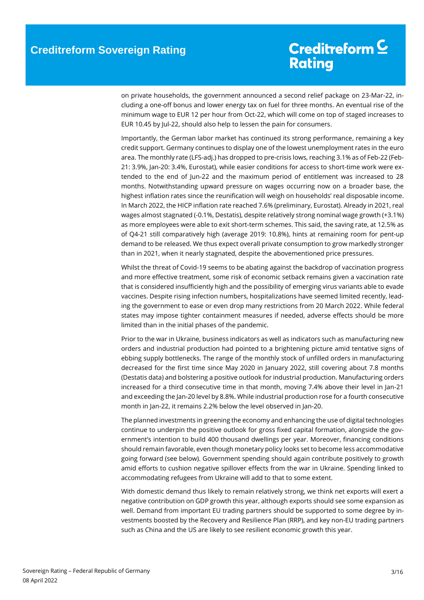on private households, the government announced a second relief package on 23-Mar-22, including a one-off bonus and lower energy tax on fuel for three months. An eventual rise of the minimum wage to EUR 12 per hour from Oct-22, which will come on top of staged increases to EUR 10.45 by Jul-22, should also help to lessen the pain for consumers.

Importantly, the German labor market has continued its strong performance, remaining a key credit support. Germany continues to display one of the lowest unemployment rates in the euro area. The monthly rate (LFS-adj.) has dropped to pre-crisis lows, reaching 3.1% as of Feb-22 (Feb-21: 3.9%, Jan-20: 3.4%, Eurostat), while easier conditions for access to short-time work were extended to the end of Jun-22 and the maximum period of entitlement was increased to 28 months. Notwithstanding upward pressure on wages occurring now on a broader base, the highest inflation rates since the reunification will weigh on households' real disposable income. In March 2022, the HICP inflation rate reached 7.6% (preliminary, Eurostat). Already in 2021, real wages almost stagnated (-0.1%, Destatis), despite relatively strong nominal wage growth (+3.1%) as more employees were able to exit short-term schemes. This said, the saving rate, at 12.5% as of Q4-21 still comparatively high (average 2019: 10.8%), hints at remaining room for pent-up demand to be released. We thus expect overall private consumption to grow markedly stronger than in 2021, when it nearly stagnated, despite the abovementioned price pressures.

Whilst the threat of Covid-19 seems to be abating against the backdrop of vaccination progress and more effective treatment, some risk of economic setback remains given a vaccination rate that is considered insufficiently high and the possibility of emerging virus variants able to evade vaccines. Despite rising infection numbers, hospitalizations have seemed limited recently, leading the government to ease or even drop many restrictions from 20 March 2022. While federal states may impose tighter containment measures if needed, adverse effects should be more limited than in the initial phases of the pandemic.

Prior to the war in Ukraine, business indicators as well as indicators such as manufacturing new orders and industrial production had pointed to a brightening picture amid tentative signs of ebbing supply bottlenecks. The range of the monthly stock of unfilled orders in manufacturing decreased for the first time since May 2020 in January 2022, still covering about 7.8 months (Destatis data) and bolstering a positive outlook for industrial production. Manufacturing orders increased for a third consecutive time in that month, moving 7.4% above their level in Jan-21 and exceeding the Jan-20 level by 8.8%. While industrial production rose for a fourth consecutive month in Jan-22, it remains 2.2% below the level observed in Jan-20.

The planned investments in greening the economy and enhancing the use of digital technologies continue to underpin the positive outlook for gross fixed capital formation, alongside the government's intention to build 400 thousand dwellings per year. Moreover, financing conditions should remain favorable, even though monetary policy looks set to become less accommodative going forward (see below). Government spending should again contribute positively to growth amid efforts to cushion negative spillover effects from the war in Ukraine. Spending linked to accommodating refugees from Ukraine will add to that to some extent.

With domestic demand thus likely to remain relatively strong, we think net exports will exert a negative contribution on GDP growth this year, although exports should see some expansion as well. Demand from important EU trading partners should be supported to some degree by investments boosted by the Recovery and Resilience Plan (RRP), and key non-EU trading partners such as China and the US are likely to see resilient economic growth this year.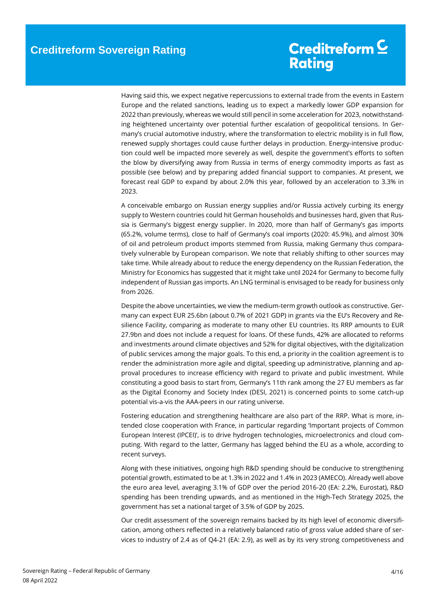Having said this, we expect negative repercussions to external trade from the events in Eastern Europe and the related sanctions, leading us to expect a markedly lower GDP expansion for 2022 than previously, whereas we would still pencil in some acceleration for 2023, notwithstanding heightened uncertainty over potential further escalation of geopolitical tensions. In Germany's crucial automotive industry, where the transformation to electric mobility is in full flow, renewed supply shortages could cause further delays in production. Energy-intensive production could well be impacted more severely as well, despite the government's efforts to soften the blow by diversifying away from Russia in terms of energy commodity imports as fast as possible (see below) and by preparing added financial support to companies. At present, we forecast real GDP to expand by about 2.0% this year, followed by an acceleration to 3.3% in 2023.

A conceivable embargo on Russian energy supplies and/or Russia actively curbing its energy supply to Western countries could hit German households and businesses hard, given that Russia is Germany's biggest energy supplier. In 2020, more than half of Germany's gas imports (65.2%, volume terms), close to half of Germany's coal imports (2020: 45.9%), and almost 30% of oil and petroleum product imports stemmed from Russia, making Germany thus comparatively vulnerable by European comparison. We note that reliably shifting to other sources may take time. While already about to reduce the energy dependency on the Russian Federation, the Ministry for Economics has suggested that it might take until 2024 for Germany to become fully independent of Russian gas imports. An LNG terminal is envisaged to be ready for business only from 2026.

Despite the above uncertainties, we view the medium-term growth outlook as constructive. Germany can expect EUR 25.6bn (about 0.7% of 2021 GDP) in grants via the EU's Recovery and Resilience Facility, comparing as moderate to many other EU countries. Its RRP amounts to EUR 27.9bn and does not include a request for loans. Of these funds, 42% are allocated to reforms and investments around climate objectives and 52% for digital objectives, with the digitalization of public services among the major goals. To this end, a priority in the coalition agreement is to render the administration more agile and digital, speeding up administrative, planning and approval procedures to increase efficiency with regard to private and public investment. While constituting a good basis to start from, Germany's 11th rank among the 27 EU members as far as the Digital Economy and Society Index (DESI, 2021) is concerned points to some catch-up potential vis-a-vis the AAA-peers in our rating universe.

Fostering education and strengthening healthcare are also part of the RRP. What is more, intended close cooperation with France, in particular regarding 'Important projects of Common European Interest (IPCEI)', is to drive hydrogen technologies, microelectronics and cloud computing. With regard to the latter, Germany has lagged behind the EU as a whole, according to recent surveys.

Along with these initiatives, ongoing high R&D spending should be conducive to strengthening potential growth, estimated to be at 1.3% in 2022 and 1.4% in 2023 (AMECO). Already well above the euro area level, averaging 3.1% of GDP over the period 2016-20 (EA: 2.2%, Eurostat), R&D spending has been trending upwards, and as mentioned in the High-Tech Strategy 2025, the government has set a national target of 3.5% of GDP by 2025.

Our credit assessment of the sovereign remains backed by its high level of economic diversification, among others reflected in a relatively balanced ratio of gross value added share of services to industry of 2.4 as of Q4-21 (EA: 2.9), as well as by its very strong competitiveness and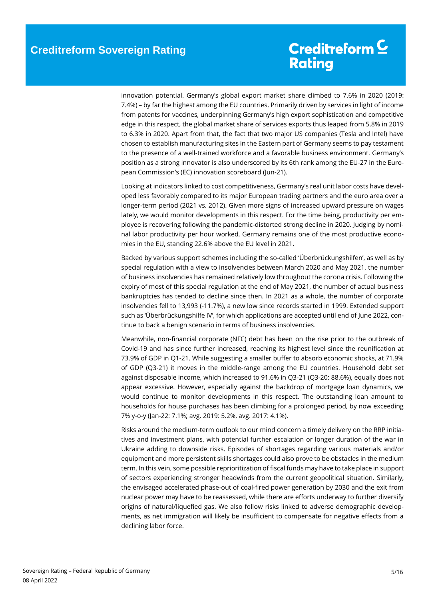innovation potential. Germany's global export market share climbed to 7.6% in 2020 (2019: 7.4%) – by far the highest among the EU countries. Primarily driven by services in light of income from patents for vaccines, underpinning Germany's high export sophistication and competitive edge in this respect, the global market share of services exports thus leaped from 5.8% in 2019 to 6.3% in 2020. Apart from that, the fact that two major US companies (Tesla and Intel) have chosen to establish manufacturing sites in the Eastern part of Germany seems to pay testament to the presence of a well-trained workforce and a favorable business environment. Germany's position as a strong innovator is also underscored by its 6th rank among the EU-27 in the European Commission's (EC) innovation scoreboard (Jun-21).

Looking at indicators linked to cost competitiveness, Germany's real unit labor costs have developed less favorably compared to its major European trading partners and the euro area over a longer-term period (2021 vs. 2012). Given more signs of increased upward pressure on wages lately, we would monitor developments in this respect. For the time being, productivity per employee is recovering following the pandemic-distorted strong decline in 2020. Judging by nominal labor productivity per hour worked, Germany remains one of the most productive economies in the EU, standing 22.6% above the EU level in 2021.

Backed by various support schemes including the so-called 'Überbrückungshilfen', as well as by special regulation with a view to insolvencies between March 2020 and May 2021, the number of business insolvencies has remained relatively low throughout the corona crisis. Following the expiry of most of this special regulation at the end of May 2021, the number of actual business bankruptcies has tended to decline since then. In 2021 as a whole, the number of corporate insolvencies fell to 13,993 (-11.7%), a new low since records started in 1999. Extended support such as 'Überbrückungshilfe IV', for which applications are accepted until end of June 2022, continue to back a benign scenario in terms of business insolvencies.

Meanwhile, non-financial corporate (NFC) debt has been on the rise prior to the outbreak of Covid-19 and has since further increased, reaching its highest level since the reunification at 73.9% of GDP in Q1-21. While suggesting a smaller buffer to absorb economic shocks, at 71.9% of GDP (Q3-21) it moves in the middle-range among the EU countries. Household debt set against disposable income, which increased to 91.6% in Q3-21 (Q3-20: 88.6%), equally does not appear excessive. However, especially against the backdrop of mortgage loan dynamics, we would continue to monitor developments in this respect. The outstanding loan amount to households for house purchases has been climbing for a prolonged period, by now exceeding 7% y-o-y (Jan-22: 7.1%; avg. 2019: 5.2%, avg. 2017: 4.1%).

Risks around the medium-term outlook to our mind concern a timely delivery on the RRP initiatives and investment plans, with potential further escalation or longer duration of the war in Ukraine adding to downside risks. Episodes of shortages regarding various materials and/or equipment and more persistent skills shortages could also prove to be obstacles in the medium term. In this vein, some possible reprioritization of fiscal funds may have to take place in support of sectors experiencing stronger headwinds from the current geopolitical situation. Similarly, the envisaged accelerated phase-out of coal-fired power generation by 2030 and the exit from nuclear power may have to be reassessed, while there are efforts underway to further diversify origins of natural/liquefied gas. We also follow risks linked to adverse demographic developments, as net immigration will likely be insufficient to compensate for negative effects from a declining labor force.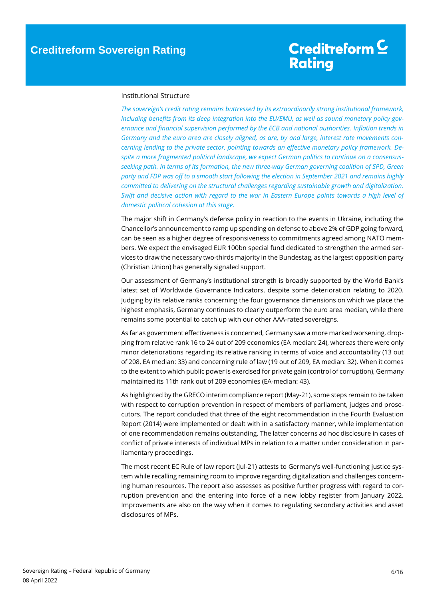### <span id="page-5-0"></span>Institutional Structure

*The sovereign's credit rating remains buttressed by its extraordinarily strong institutional framework, including benefits from its deep integration into the EU/EMU, as well as sound monetary policy governance and financial supervision performed by the ECB and national authorities. Inflation trends in Germany and the euro area are closely aligned, as are, by and large, interest rate movements concerning lending to the private sector, pointing towards an effective monetary policy framework. Despite a more fragmented political landscape, we expect German politics to continue on a consensusseeking path. In terms of its formation, the new three-way German governing coalition of SPD, Green party and FDP was off to a smooth start following the election in September 2021 and remains highly committed to delivering on the structural challenges regarding sustainable growth and digitalization. Swift and decisive action with regard to the war in Eastern Europe points towards a high level of domestic political cohesion at this stage.*

The major shift in Germany's defense policy in reaction to the events in Ukraine, including the Chancellor's announcement to ramp up spending on defense to above 2% of GDP going forward, can be seen as a higher degree of responsiveness to commitments agreed among NATO members. We expect the envisaged EUR 100bn special fund dedicated to strengthen the armed services to draw the necessary two-thirds majority in the Bundestag, as the largest opposition party (Christian Union) has generally signaled support.

Our assessment of Germany's institutional strength is broadly supported by the World Bank's latest set of Worldwide Governance Indicators, despite some deterioration relating to 2020. Judging by its relative ranks concerning the four governance dimensions on which we place the highest emphasis, Germany continues to clearly outperform the euro area median, while there remains some potential to catch up with our other AAA-rated sovereigns.

As far as government effectiveness is concerned, Germany saw a more marked worsening, dropping from relative rank 16 to 24 out of 209 economies (EA median: 24), whereas there were only minor deteriorations regarding its relative ranking in terms of voice and accountability (13 out of 208, EA median: 33) and concerning rule of law (19 out of 209, EA median: 32). When it comes to the extent to which public power is exercised for private gain (control of corruption), Germany maintained its 11th rank out of 209 economies (EA-median: 43).

As highlighted by the GRECO interim compliance report (May-21), some steps remain to be taken with respect to corruption prevention in respect of members of parliament, judges and prosecutors. The report concluded that three of the eight recommendation in the Fourth Evaluation Report (2014) were implemented or dealt with in a satisfactory manner, while implementation of one recommendation remains outstanding. The latter concerns ad hoc disclosure in cases of conflict of private interests of individual MPs in relation to a matter under consideration in parliamentary proceedings.

The most recent EC Rule of law report (Jul-21) attests to Germany's well-functioning justice system while recalling remaining room to improve regarding digitalization and challenges concerning human resources. The report also assesses as positive further progress with regard to corruption prevention and the entering into force of a new lobby register from January 2022. Improvements are also on the way when it comes to regulating secondary activities and asset disclosures of MPs.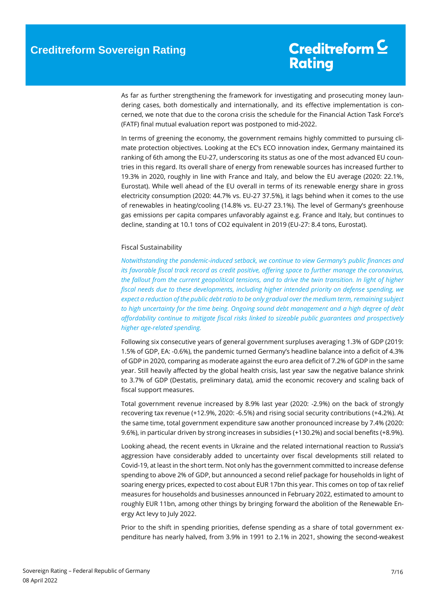As far as further strengthening the framework for investigating and prosecuting money laundering cases, both domestically and internationally, and its effective implementation is concerned, we note that due to the corona crisis the schedule for the Financial Action Task Force's (FATF) final mutual evaluation report was postponed to mid-2022.

In terms of greening the economy, the government remains highly committed to pursuing climate protection objectives. Looking at the EC's ECO innovation index, Germany maintained its ranking of 6th among the EU-27, underscoring its status as one of the most advanced EU countries in this regard. Its overall share of energy from renewable sources has increased further to 19.3% in 2020, roughly in line with France and Italy, and below the EU average (2020: 22.1%, Eurostat). While well ahead of the EU overall in terms of its renewable energy share in gross electricity consumption (2020: 44.7% vs. EU-27 37.5%), it lags behind when it comes to the use of renewables in heating/cooling (14.8% vs. EU-27 23.1%). The level of Germany's greenhouse gas emissions per capita compares unfavorably against e.g. France and Italy, but continues to decline, standing at 10.1 tons of CO2 equivalent in 2019 (EU-27: 8.4 tons, Eurostat).

### <span id="page-6-0"></span>Fiscal Sustainability

*Notwithstanding the pandemic-induced setback, we continue to view Germany's public finances and its favorable fiscal track record as credit positive, offering space to further manage the coronavirus, the fallout from the current geopolitical tensions, and to drive the twin transition. In light of higher fiscal needs due to these developments, including higher intended priority on defense spending, we expect a reduction of the public debt ratio to be only gradual over the medium term, remaining subject to high uncertainty for the time being. Ongoing sound debt management and a high degree of debt affordability continue to mitigate fiscal risks linked to sizeable public guarantees and prospectively higher age-related spending.*

Following six consecutive years of general government surpluses averaging 1.3% of GDP (2019: 1.5% of GDP, EA: -0.6%), the pandemic turned Germany's headline balance into a deficit of 4.3% of GDP in 2020, comparing as moderate against the euro area deficit of 7.2% of GDP in the same year. Still heavily affected by the global health crisis, last year saw the negative balance shrink to 3.7% of GDP (Destatis, preliminary data), amid the economic recovery and scaling back of fiscal support measures.

Total government revenue increased by 8.9% last year (2020: -2.9%) on the back of strongly recovering tax revenue (+12.9%, 2020: -6.5%) and rising social security contributions (+4.2%). At the same time, total government expenditure saw another pronounced increase by 7.4% (2020: 9.6%), in particular driven by strong increases in subsidies (+130.2%) and social benefits (+8.9%).

Looking ahead, the recent events in Ukraine and the related international reaction to Russia's aggression have considerably added to uncertainty over fiscal developments still related to Covid-19, at least in the short term. Not only has the government committed to increase defense spending to above 2% of GDP, but announced a second relief package for households in light of soaring energy prices, expected to cost about EUR 17bn this year. This comes on top of tax relief measures for households and businesses announced in February 2022, estimated to amount to roughly EUR 11bn, among other things by bringing forward the abolition of the Renewable Energy Act levy to July 2022.

Prior to the shift in spending priorities, defense spending as a share of total government expenditure has nearly halved, from 3.9% in 1991 to 2.1% in 2021, showing the second-weakest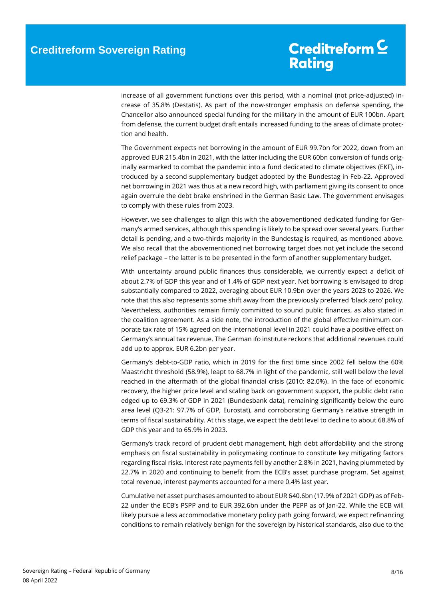increase of all government functions over this period, with a nominal (not price-adjusted) increase of 35.8% (Destatis). As part of the now-stronger emphasis on defense spending, the Chancellor also announced special funding for the military in the amount of EUR 100bn. Apart from defense, the current budget draft entails increased funding to the areas of climate protection and health.

The Government expects net borrowing in the amount of EUR 99.7bn for 2022, down from an approved EUR 215.4bn in 2021, with the latter including the EUR 60bn conversion of funds originally earmarked to combat the pandemic into a fund dedicated to climate objectives (EKF), introduced by a second supplementary budget adopted by the Bundestag in Feb-22. Approved net borrowing in 2021 was thus at a new record high, with parliament giving its consent to once again overrule the debt brake enshrined in the German Basic Law. The government envisages to comply with these rules from 2023.

However, we see challenges to align this with the abovementioned dedicated funding for Germany's armed services, although this spending is likely to be spread over several years. Further detail is pending, and a two-thirds majority in the Bundestag is required, as mentioned above. We also recall that the abovementioned net borrowing target does not yet include the second relief package – the latter is to be presented in the form of another supplementary budget.

With uncertainty around public finances thus considerable, we currently expect a deficit of about 2.7% of GDP this year and of 1.4% of GDP next year. Net borrowing is envisaged to drop substantially compared to 2022, averaging about EUR 10.9bn over the years 2023 to 2026. We note that this also represents some shift away from the previously preferred 'black zero' policy. Nevertheless, authorities remain firmly committed to sound public finances, as also stated in the coalition agreement. As a side note, the introduction of the global effective minimum corporate tax rate of 15% agreed on the international level in 2021 could have a positive effect on Germany's annual tax revenue. The German ifo institute reckons that additional revenues could add up to approx. EUR 6.2bn per year.

Germany's debt-to-GDP ratio, which in 2019 for the first time since 2002 fell below the 60% Maastricht threshold (58.9%), leapt to 68.7% in light of the pandemic, still well below the level reached in the aftermath of the global financial crisis (2010: 82.0%). In the face of economic recovery, the higher price level and scaling back on government support, the public debt ratio edged up to 69.3% of GDP in 2021 (Bundesbank data), remaining significantly below the euro area level (Q3-21: 97.7% of GDP, Eurostat), and corroborating Germany's relative strength in terms of fiscal sustainability. At this stage, we expect the debt level to decline to about 68.8% of GDP this year and to 65.9% in 2023.

Germany's track record of prudent debt management, high debt affordability and the strong emphasis on fiscal sustainability in policymaking continue to constitute key mitigating factors regarding fiscal risks. Interest rate payments fell by another 2.8% in 2021, having plummeted by 22.7% in 2020 and continuing to benefit from the ECB's asset purchase program. Set against total revenue, interest payments accounted for a mere 0.4% last year.

Cumulative net asset purchases amounted to about EUR 640.6bn (17.9% of 2021 GDP) as of Feb-22 under the ECB's PSPP and to EUR 392.6bn under the PEPP as of Jan-22. While the ECB will likely pursue a less accommodative monetary policy path going forward, we expect refinancing conditions to remain relatively benign for the sovereign by historical standards, also due to the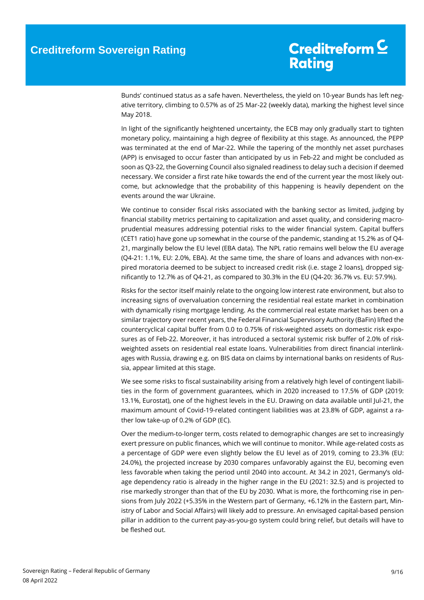Bunds' continued status as a safe haven. Nevertheless, the yield on 10-year Bunds has left negative territory, climbing to 0.57% as of 25 Mar-22 (weekly data), marking the highest level since May 2018.

In light of the significantly heightened uncertainty, the ECB may only gradually start to tighten monetary policy, maintaining a high degree of flexibility at this stage. As announced, the PEPP was terminated at the end of Mar-22. While the tapering of the monthly net asset purchases (APP) is envisaged to occur faster than anticipated by us in Feb-22 and might be concluded as soon as Q3-22, the Governing Council also signaled readiness to delay such a decision if deemed necessary. We consider a first rate hike towards the end of the current year the most likely outcome, but acknowledge that the probability of this happening is heavily dependent on the events around the war Ukraine.

We continue to consider fiscal risks associated with the banking sector as limited, judging by financial stability metrics pertaining to capitalization and asset quality, and considering macroprudential measures addressing potential risks to the wider financial system. Capital buffers (CET1 ratio) have gone up somewhat in the course of the pandemic, standing at 15.2% as of Q4- 21, marginally below the EU level (EBA data). The NPL ratio remains well below the EU average (Q4-21: 1.1%, EU: 2.0%, EBA). At the same time, the share of loans and advances with non-expired moratoria deemed to be subject to increased credit risk (i.e. stage 2 loans), dropped significantly to 12.7% as of Q4-21, as compared to 30.3% in the EU (Q4-20: 36.7% vs. EU: 57.9%).

Risks for the sector itself mainly relate to the ongoing low interest rate environment, but also to increasing signs of overvaluation concerning the residential real estate market in combination with dynamically rising mortgage lending. As the commercial real estate market has been on a similar trajectory over recent years, the Federal Financial Supervisory Authority (BaFin) lifted the countercyclical capital buffer from 0.0 to 0.75% of risk-weighted assets on domestic risk exposures as of Feb-22. Moreover, it has introduced a sectoral systemic risk buffer of 2.0% of riskweighted assets on residential real estate loans. Vulnerabilities from direct financial interlinkages with Russia, drawing e.g. on BIS data on claims by international banks on residents of Russia, appear limited at this stage.

We see some risks to fiscal sustainability arising from a relatively high level of contingent liabilities in the form of government guarantees, which in 2020 increased to 17.5% of GDP (2019: 13.1%, Eurostat), one of the highest levels in the EU. Drawing on data available until Jul-21, the maximum amount of Covid-19-related contingent liabilities was at 23.8% of GDP, against a rather low take-up of 0.2% of GDP (EC).

Over the medium-to-longer term, costs related to demographic changes are set to increasingly exert pressure on public finances, which we will continue to monitor. While age-related costs as a percentage of GDP were even slightly below the EU level as of 2019, coming to 23.3% (EU: 24.0%), the projected increase by 2030 compares unfavorably against the EU, becoming even less favorable when taking the period until 2040 into account. At 34.2 in 2021, Germany's oldage dependency ratio is already in the higher range in the EU (2021: 32.5) and is projected to rise markedly stronger than that of the EU by 2030. What is more, the forthcoming rise in pensions from July 2022 (+5.35% in the Western part of Germany, +6.12% in the Eastern part, Ministry of Labor and Social Affairs) will likely add to pressure. An envisaged capital-based pension pillar in addition to the current pay-as-you-go system could bring relief, but details will have to be fleshed out.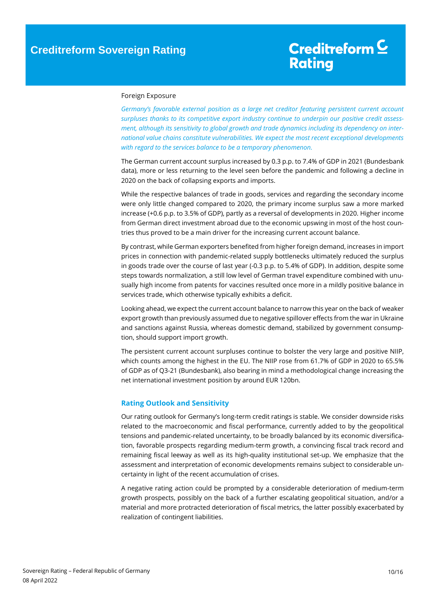### <span id="page-9-0"></span>Foreign Exposure

*Germany's favorable external position as a large net creditor featuring persistent current account surpluses thanks to its competitive export industry continue to underpin our positive credit assessment, although its sensitivity to global growth and trade dynamics including its dependency on international value chains constitute vulnerabilities. We expect the most recent exceptional developments with regard to the services balance to be a temporary phenomenon.* 

The German current account surplus increased by 0.3 p.p. to 7.4% of GDP in 2021 (Bundesbank data), more or less returning to the level seen before the pandemic and following a decline in 2020 on the back of collapsing exports and imports.

While the respective balances of trade in goods, services and regarding the secondary income were only little changed compared to 2020, the primary income surplus saw a more marked increase (+0.6 p.p. to 3.5% of GDP), partly as a reversal of developments in 2020. Higher income from German direct investment abroad due to the economic upswing in most of the host countries thus proved to be a main driver for the increasing current account balance.

By contrast, while German exporters benefited from higher foreign demand, increases in import prices in connection with pandemic-related supply bottlenecks ultimately reduced the surplus in goods trade over the course of last year (-0.3 p.p. to 5.4% of GDP). In addition, despite some steps towards normalization, a still low level of German travel expenditure combined with unusually high income from patents for vaccines resulted once more in a mildly positive balance in services trade, which otherwise typically exhibits a deficit.

Looking ahead, we expect the current account balance to narrow this year on the back of weaker export growth than previously assumed due to negative spillover effects from the war in Ukraine and sanctions against Russia, whereas domestic demand, stabilized by government consumption, should support import growth.

The persistent current account surpluses continue to bolster the very large and positive NIIP, which counts among the highest in the EU. The NIIP rose from 61.7% of GDP in 2020 to 65.5% of GDP as of Q3-21 (Bundesbank), also bearing in mind a methodological change increasing the net international investment position by around EUR 120bn.

### <span id="page-9-1"></span>**Rating Outlook and Sensitivity**

Our rating outlook for Germany's long-term credit ratings is stable. We consider downside risks related to the macroeconomic and fiscal performance, currently added to by the geopolitical tensions and pandemic-related uncertainty, to be broadly balanced by its economic diversification, favorable prospects regarding medium-term growth, a convincing fiscal track record and remaining fiscal leeway as well as its high-quality institutional set-up. We emphasize that the assessment and interpretation of economic developments remains subject to considerable uncertainty in light of the recent accumulation of crises.

<span id="page-9-2"></span>A negative rating action could be prompted by a considerable deterioration of medium-term growth prospects, possibly on the back of a further escalating geopolitical situation, and/or a material and more protracted deterioration of fiscal metrics, the latter possibly exacerbated by realization of contingent liabilities.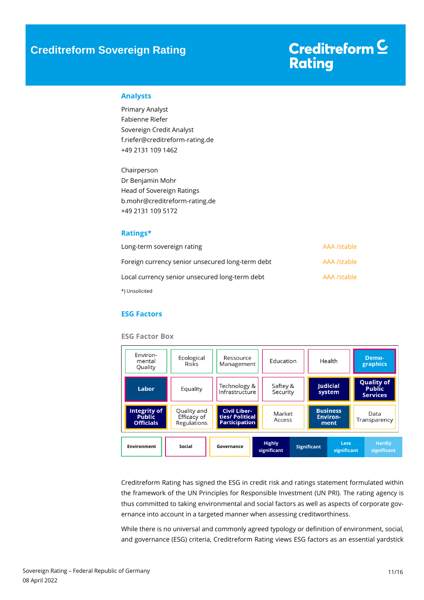# Creditreform<sup>C</sup> **Rating**

### **Analysts**

Primary Analyst Fabienne Riefer Sovereign Credit Analyst f.riefer@creditreform-rating.de +49 2131 109 1462

Chairperson Dr Benjamin Mohr Head of Sovereign Ratings b.mohr@creditreform-rating.de +49 2131 109 5172

### <span id="page-10-0"></span>**Ratings\***

| Long-term sovereign rating                       | AAA /stable |
|--------------------------------------------------|-------------|
| Foreign currency senior unsecured long-term debt | AAA /stable |
| Local currency senior unsecured long-term debt   | AAA /stable |
| *) Unsolicited                                   |             |

### <span id="page-10-1"></span>**ESG Factors**

#### **ESG Factor Box**

| Environ-<br>mental<br>Quality                            | Ecological<br><b>Risks</b>                                         | Ressource<br>Management                                        | Health<br>Education          |                           |                                                       | Demo-<br>graphics            |
|----------------------------------------------------------|--------------------------------------------------------------------|----------------------------------------------------------------|------------------------------|---------------------------|-------------------------------------------------------|------------------------------|
| Labor                                                    | Technology &<br>Saftey &<br>Equality<br>Infrastructure<br>Security |                                                                |                              | <b>Judicial</b><br>system | <b>Quality of</b><br><b>Public</b><br><b>Services</b> |                              |
| <b>Integrity of</b><br><b>Public</b><br><b>Officials</b> | Quality and<br>Efficacy of<br>Regulations                          | <b>Civil Liber-</b><br>ties/ Political<br><b>Participation</b> | Market<br>Access             |                           | <b>Business</b><br><b>Environ-</b><br>ment            | Data<br>Transparency         |
| <b>Environment</b>                                       | Social                                                             | Governance                                                     | <b>Highly</b><br>significant | <b>Significant</b>        | <b>Less</b><br>significant                            | <b>Hardly</b><br>significant |

Creditreform Rating has signed the ESG in credit risk and ratings statement formulated within the framework of the UN Principles for Responsible Investment (UN PRI). The rating agency is thus committed to taking environmental and social factors as well as aspects of corporate governance into account in a targeted manner when assessing creditworthiness.

While there is no universal and commonly agreed typology or definition of environment, social, and governance (ESG) criteria, Creditreform Rating views ESG factors as an essential yardstick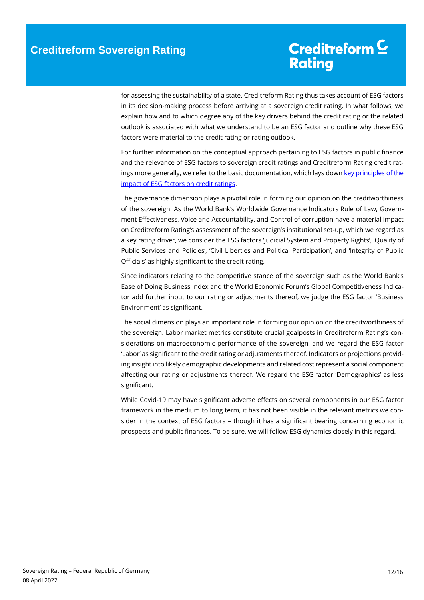for assessing the sustainability of a state. Creditreform Rating thus takes account of ESG factors in its decision-making process before arriving at a sovereign credit rating. In what follows, we explain how and to which degree any of the key drivers behind the credit rating or the related outlook is associated with what we understand to be an ESG factor and outline why these ESG factors were material to the credit rating or rating outlook.

For further information on the conceptual approach pertaining to ESG factors in public finance and the relevance of ESG factors to sovereign credit ratings and Creditreform Rating credit ratings more generally, we refer to the basic documentation, which lays down key principles of the [impact of ESG factors on credit ratings.](https://www.creditreform-rating.de/en/about-us/regulatory-requirements.html?file=files/content/downloads/Externes%20Rating/Regulatorische%20Anforderungen/EN/Ratingmethodiken%20EN/The%20Impact%20of%20ESG%20Factors%20on%20Credit%20Ratings.pdf)

The governance dimension plays a pivotal role in forming our opinion on the creditworthiness of the sovereign. As the World Bank's Worldwide Governance Indicators Rule of Law, Government Effectiveness, Voice and Accountability, and Control of corruption have a material impact on Creditreform Rating's assessment of the sovereign's institutional set-up, which we regard as a key rating driver, we consider the ESG factors 'Judicial System and Property Rights', 'Quality of Public Services and Policies', 'Civil Liberties and Political Participation', and 'Integrity of Public Officials' as highly significant to the credit rating.

Since indicators relating to the competitive stance of the sovereign such as the World Bank's Ease of Doing Business index and the World Economic Forum's Global Competitiveness Indicator add further input to our rating or adjustments thereof, we judge the ESG factor 'Business Environment' as significant.

The social dimension plays an important role in forming our opinion on the creditworthiness of the sovereign. Labor market metrics constitute crucial goalposts in Creditreform Rating's considerations on macroeconomic performance of the sovereign, and we regard the ESG factor 'Labor' as significant to the credit rating or adjustments thereof. Indicators or projections providing insight into likely demographic developments and related cost represent a social component affecting our rating or adjustments thereof. We regard the ESG factor 'Demographics' as less significant.

While Covid-19 may have significant adverse effects on several components in our ESG factor framework in the medium to long term, it has not been visible in the relevant metrics we consider in the context of ESG factors – though it has a significant bearing concerning economic prospects and public finances. To be sure, we will follow ESG dynamics closely in this regard.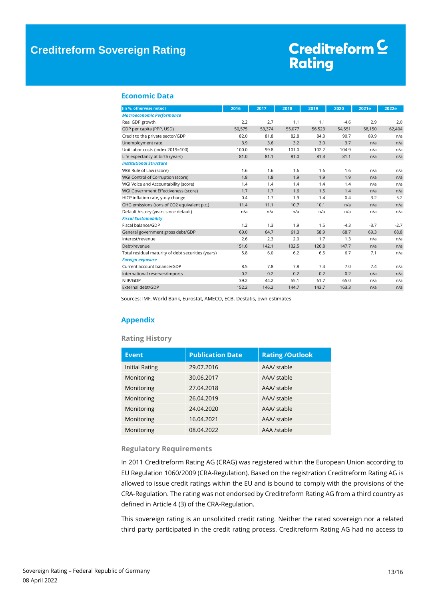## Creditreform<sup>C</sup> **Rating**

### <span id="page-12-0"></span>**Economic Data**

| [in %, otherwise noted]                            | 2016   | 2017   | 2018   | 2019   | 2020   | 2021e  | 2022e  |
|----------------------------------------------------|--------|--------|--------|--------|--------|--------|--------|
| <b>Macroeconomic Performance</b>                   |        |        |        |        |        |        |        |
| Real GDP growth                                    | 2.2    | 2.7    | 1.1    | 1.1    | $-4.6$ | 2.9    | 2.0    |
| GDP per capita (PPP, USD)                          | 50,575 | 53,374 | 55,077 | 56,523 | 54,551 | 58,150 | 62,404 |
| Credit to the private sector/GDP                   | 82.0   | 81.8   | 82.8   | 84.3   | 90.7   | 89.9   | n/a    |
| Unemployment rate                                  | 3.9    | 3.6    | 3.2    | 3.0    | 3.7    | n/a    | n/a    |
| Unit labor costs (index 2019=100)                  | 100.0  | 99.8   | 101.0  | 102.2  | 104.9  | n/a    | n/a    |
| Life expectancy at birth (years)                   | 81.0   | 81.1   | 81.0   | 81.3   | 81.1   | n/a    | n/a    |
| <b>Institutional Structure</b>                     |        |        |        |        |        |        |        |
| WGI Rule of Law (score)                            | 1.6    | 1.6    | 1.6    | 1.6    | 1.6    | n/a    | n/a    |
| WGI Control of Corruption (score)                  | 1.8    | 1.8    | 1.9    | 1.9    | 1.9    | n/a    | n/a    |
| WGI Voice and Accountability (score)               | 1.4    | 1.4    | 1.4    | 1.4    | 1.4    | n/a    | n/a    |
| WGI Government Effectiveness (score)               | 1.7    | 1.7    | 1.6    | 1.5    | 1.4    | n/a    | n/a    |
| HICP inflation rate, y-o-y change                  | 0.4    | 1.7    | 1.9    | 1.4    | 0.4    | 3.2    | 5.2    |
| GHG emissions (tons of CO2 equivalent p.c.)        | 11.4   | 11.1   | 10.7   | 10.1   | n/a    | n/a    | n/a    |
| Default history (years since default)              | n/a    | n/a    | n/a    | n/a    | n/a    | n/a    | n/a    |
| <b>Fiscal Sustainability</b>                       |        |        |        |        |        |        |        |
| Fiscal balance/GDP                                 | 1.2    | 1.3    | 1.9    | 1.5    | $-4.3$ | $-3.7$ | $-2.7$ |
| General government gross debt/GDP                  | 69.0   | 64.7   | 61.3   | 58.9   | 68.7   | 69.3   | 68.8   |
| Interest/revenue                                   | 2.6    | 2.3    | 2.0    | 1.7    | 1.3    | n/a    | n/a    |
| Debt/revenue                                       | 151.6  | 142.1  | 132.5  | 126.8  | 147.7  | n/a    | n/a    |
| Total residual maturity of debt securities (years) | 5.8    | 6.0    | 6.2    | 6.5    | 6.7    | 7.1    | n/a    |
| <b>Foreign exposure</b>                            |        |        |        |        |        |        |        |
| Current account balance/GDP                        | 8.5    | 7.8    | 7.8    | 7.4    | 7.0    | 7.4    | n/a    |
| International reserves/imports                     | 0.2    | 0.2    | 0.2    | 0.2    | 0.2    | n/a    | n/a    |
| NIIP/GDP                                           | 39.2   | 44.2   | 55.1   | 61.7   | 65.0   | n/a    | n/a    |
| External debt/GDP                                  | 152.2  | 146.2  | 144.7  | 143.7  | 163.3  | n/a    | n/a    |

Sources: IMF, World Bank, Eurostat, AMECO, ECB, Destatis, own estimates

### <span id="page-12-1"></span>**Appendix**

### **Rating History**

| <b>Event</b>          | <b>Publication Date</b> | <b>Rating /Outlook</b> |
|-----------------------|-------------------------|------------------------|
| <b>Initial Rating</b> | 29.07.2016              | AAA/ stable            |
| Monitoring            | 30.06.2017              | AAA/ stable            |
| Monitoring            | 27.04.2018              | AAA/ stable            |
| Monitoring            | 26.04.2019              | AAA/ stable            |
| Monitoring            | 24.04.2020              | AAA/ stable            |
| Monitoring            | 16.04.2021              | AAA/ stable            |
| Monitoring            | 08.04.2022              | AAA /stable            |

### **Regulatory Requirements**

In 2011 Creditreform Rating AG (CRAG) was registered within the European Union according to EU Regulation 1060/2009 (CRA-Regulation). Based on the registration Creditreform Rating AG is allowed to issue credit ratings within the EU and is bound to comply with the provisions of the CRA-Regulation. The rating was not endorsed by Creditreform Rating AG from a third country as defined in Article 4 (3) of the CRA-Regulation.

This sovereign rating is an unsolicited credit rating. Neither the rated sovereign nor a related third party participated in the credit rating process. Creditreform Rating AG had no access to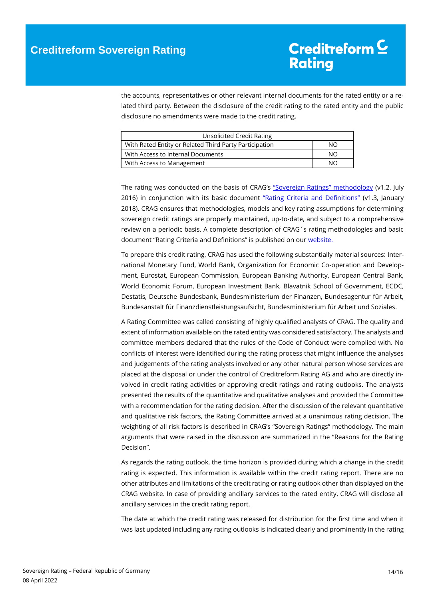the accounts, representatives or other relevant internal documents for the rated entity or a related third party. Between the disclosure of the credit rating to the rated entity and the public disclosure no amendments were made to the credit rating.

| Unsolicited Credit Rating                              |    |
|--------------------------------------------------------|----|
| With Rated Entity or Related Third Party Participation | NΟ |
| With Access to Internal Documents                      | NΟ |
| With Access to Management                              | NΟ |

The rating was conducted on the basis of CRAG's ["Sovereign Ratings" methodology](https://www.creditreform-rating.de/en/about-us/regulatory-requirements.html?file=files/content/downloads/Externes%20Rating/Regulatorische%20Anforderungen/EN/Ratingmethodiken%20EN/Rating%20Methodology%20Sovereign%20Ratings.pdf) (v1.2, July 2016) in conjunction with its basic document ["Rating Criteria and Definitions"](https://www.creditreform-rating.de/en/about-us/regulatory-requirements.html?file=files/content/downloads/Externes%20Rating/Regulatorische%20Anforderungen/EN/Ratingmethodiken%20EN/CRAG%20Rating%20Criteria%20and%20Definitions.pdf) (v1.3, January 2018). CRAG ensures that methodologies, models and key rating assumptions for determining sovereign credit ratings are properly maintained, up-to-date, and subject to a comprehensive review on a periodic basis. A complete description of CRAG´s rating methodologies and basic document "Rating Criteria and Definitions" is published on our [website.](https://www.creditreform-rating.de/en/about-us/regulatory-requirements.html)

To prepare this credit rating, CRAG has used the following substantially material sources: International Monetary Fund, World Bank, Organization for Economic Co-operation and Development, Eurostat, European Commission, European Banking Authority, European Central Bank, World Economic Forum, European Investment Bank, Blavatnik School of Government, ECDC, Destatis, Deutsche Bundesbank, Bundesministerium der Finanzen, Bundesagentur für Arbeit, Bundesanstalt für Finanzdienstleistungsaufsicht, Bundesministerium für Arbeit und Soziales.

A Rating Committee was called consisting of highly qualified analysts of CRAG. The quality and extent of information available on the rated entity was considered satisfactory. The analysts and committee members declared that the rules of the Code of Conduct were complied with. No conflicts of interest were identified during the rating process that might influence the analyses and judgements of the rating analysts involved or any other natural person whose services are placed at the disposal or under the control of Creditreform Rating AG and who are directly involved in credit rating activities or approving credit ratings and rating outlooks. The analysts presented the results of the quantitative and qualitative analyses and provided the Committee with a recommendation for the rating decision. After the discussion of the relevant quantitative and qualitative risk factors, the Rating Committee arrived at a unanimous rating decision. The weighting of all risk factors is described in CRAG's "Sovereign Ratings" methodology. The main arguments that were raised in the discussion are summarized in the "Reasons for the Rating Decision".

As regards the rating outlook, the time horizon is provided during which a change in the credit rating is expected. This information is available within the credit rating report. There are no other attributes and limitations of the credit rating or rating outlook other than displayed on the CRAG website. In case of providing ancillary services to the rated entity, CRAG will disclose all ancillary services in the credit rating report.

The date at which the credit rating was released for distribution for the first time and when it was last updated including any rating outlooks is indicated clearly and prominently in the rating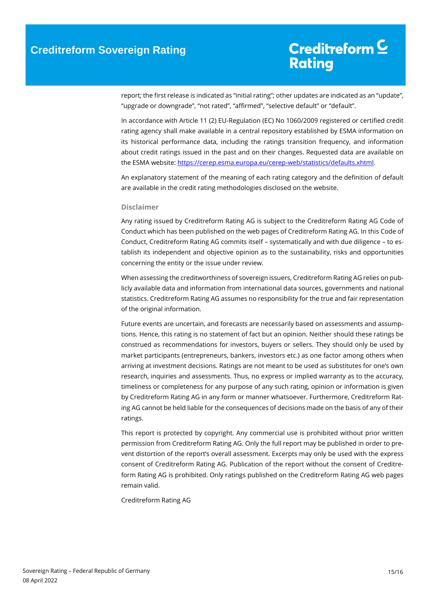report; the first release is indicated as "initial rating"; other updates are indicated as an "update", "upgrade or downgrade", "not rated", "affirmed", "selective default" or "default".

In accordance with Article 11 (2) EU-Regulation (EC) No 1060/2009 registered or certified credit rating agency shall make available in a central repository established by ESMA information on its historical performance data, including the ratings transition frequency, and information about credit ratings issued in the past and on their changes. Requested data are available on the ESMA website[: https://cerep.esma.europa.eu/cerep-web/statistics/defaults.xhtml.](https://cerep.esma.europa.eu/cerep-web/statistics/defaults.xhtml)

An explanatory statement of the meaning of each rating category and the definition of default are available in the credit rating methodologies disclosed on the website.

#### **Disclaimer**

Any rating issued by Creditreform Rating AG is subject to the Creditreform Rating AG Code of Conduct which has been published on the web pages of Creditreform Rating AG. In this Code of Conduct, Creditreform Rating AG commits itself – systematically and with due diligence – to establish its independent and objective opinion as to the sustainability, risks and opportunities concerning the entity or the issue under review.

When assessing the creditworthiness of sovereign issuers, Creditreform Rating AG relies on publicly available data and information from international data sources, governments and national statistics. Creditreform Rating AG assumes no responsibility for the true and fair representation of the original information.

Future events are uncertain, and forecasts are necessarily based on assessments and assumptions. Hence, this rating is no statement of fact but an opinion. Neither should these ratings be construed as recommendations for investors, buyers or sellers. They should only be used by market participants (entrepreneurs, bankers, investors etc.) as one factor among others when arriving at investment decisions. Ratings are not meant to be used as substitutes for one's own research, inquiries and assessments. Thus, no express or implied warranty as to the accuracy, timeliness or completeness for any purpose of any such rating, opinion or information is given by Creditreform Rating AG in any form or manner whatsoever. Furthermore, Creditreform Rating AG cannot be held liable for the consequences of decisions made on the basis of any of their ratings.

This report is protected by copyright. Any commercial use is prohibited without prior written permission from Creditreform Rating AG. Only the full report may be published in order to prevent distortion of the report's overall assessment. Excerpts may only be used with the express consent of Creditreform Rating AG. Publication of the report without the consent of Creditreform Rating AG is prohibited. Only ratings published on the Creditreform Rating AG web pages remain valid.

Creditreform Rating AG